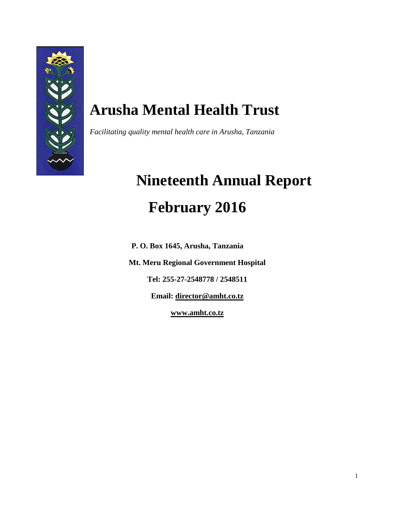

## **Arusha Mental Health Trust**

*Facilitating quality mental health care in Arusha, Tanzania*

# **Nineteenth Annual Report February 2016**

**P. O. Box 1645, Arusha, Tanzania**

**Mt. Meru Regional Government Hospital**

**Tel: 255-27-2548778 / 2548511**

**Email: [director@amht.co.tz](mailto:director@amht.co.tz)**

**[www.amht.co.tz](http://www.amht.co.tz/)**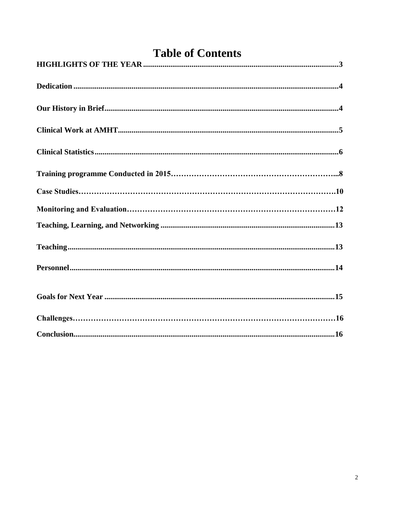<span id="page-1-0"></span>

| <b>Table of Contents</b> |  |  |
|--------------------------|--|--|
|                          |  |  |
|                          |  |  |
|                          |  |  |
|                          |  |  |
|                          |  |  |
|                          |  |  |
|                          |  |  |
|                          |  |  |
|                          |  |  |
|                          |  |  |
|                          |  |  |
|                          |  |  |
|                          |  |  |
|                          |  |  |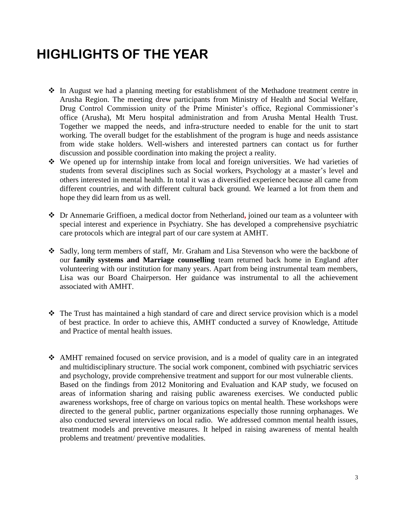## **HIGHLIGHTS OF THE YEAR**

- In August we had a planning meeting for establishment of the Methadone treatment centre in Arusha Region. The meeting drew participants from Ministry of Health and Social Welfare, Drug Control Commission unity of the Prime Minister's office, Regional Commissioner's office (Arusha), Mt Meru hospital administration and from Arusha Mental Health Trust. Together we mapped the needs, and infra-structure needed to enable for the unit to start working. The overall budget for the establishment of the program is huge and needs assistance from wide stake holders. Well-wishers and interested partners can contact us for further discussion and possible coordination into making the project a reality.
- We opened up for internship intake from local and foreign universities. We had varieties of students from several disciplines such as Social workers, Psychology at a master's level and others interested in mental health. In total it was a diversified experience because all came from different countries, and with different cultural back ground. We learned a lot from them and hope they did learn from us as well.
- Dr Annemarie Griffioen, a medical doctor from Netherland**,** joined our team as a volunteer with special interest and experience in Psychiatry. She has developed a comprehensive psychiatric care protocols which are integral part of our care system at AMHT.
- Sadly, long term members of staff, Mr. Graham and Lisa Stevenson who were the backbone of our **family systems and Marriage counselling** team returned back home in England after volunteering with our institution for many years. Apart from being instrumental team members, Lisa was our Board Chairperson. Her guidance was instrumental to all the achievement associated with AMHT.
- The Trust has maintained a high standard of care and direct service provision which is a model of best practice. In order to achieve this, AMHT conducted a survey of Knowledge, Attitude and Practice of mental health issues.
- AMHT remained focused on service provision, and is a model of quality care in an integrated and multidisciplinary structure. The social work component, combined with psychiatric services and psychology, provide comprehensive treatment and support for our most vulnerable clients. Based on the findings from 2012 Monitoring and Evaluation and KAP study, we focused on areas of information sharing and raising public awareness exercises. We conducted public awareness workshops, free of charge on various topics on mental health. These workshops were directed to the general public, partner organizations especially those running orphanages. We also conducted several interviews on local radio. We addressed common mental health issues, treatment models and preventive measures. It helped in raising awareness of mental health problems and treatment/ preventive modalities.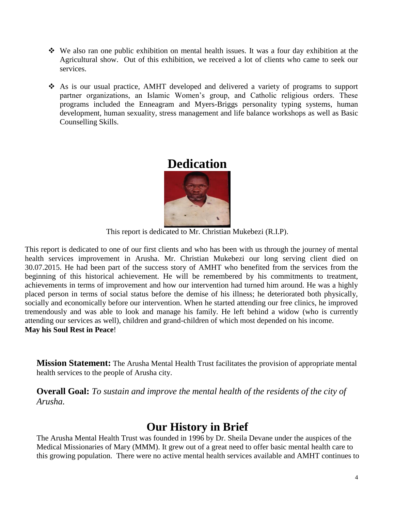- We also ran one public exhibition on mental health issues. It was a four day exhibition at the Agricultural show. Out of this exhibition, we received a lot of clients who came to seek our services.
- As is our usual practice, AMHT developed and delivered a variety of programs to support partner organizations, an Islamic Women's group, and Catholic religious orders. These programs included the Enneagram and Myers-Briggs personality typing systems, human development, human sexuality, stress management and life balance workshops as well as Basic Counselling Skills.

## **Dedication**

<span id="page-3-0"></span>

This report is dedicated to Mr. Christian Mukebezi (R.I.P).

This report is dedicated to one of our first clients and who has been with us through the journey of mental health services improvement in Arusha. Mr. Christian Mukebezi our long serving client died on 30.07.2015. He had been part of the success story of AMHT who benefited from the services from the beginning of this historical achievement. He will be remembered by his commitments to treatment, achievements in terms of improvement and how our intervention had turned him around. He was a highly placed person in terms of social status before the demise of his illness; he deteriorated both physically, socially and economically before our intervention. When he started attending our free clinics, he improved tremendously and was able to look and manage his family. He left behind a widow (who is currently attending our services as well), children and grand-children of which most depended on his income. **May his Soul Rest in Peace**!

**Mission Statement:** The Arusha Mental Health Trust facilitates the provision of appropriate mental health services to the people of Arusha city.

**Overall Goal:** *To sustain and improve the mental health of the residents of the city of Arusha.* 

## **Our History in Brief**

The Arusha Mental Health Trust was founded in 1996 by Dr. Sheila Devane under the auspices of the Medical Missionaries of Mary (MMM). It grew out of a great need to offer basic mental health care to this growing population. There were no active mental health services available and AMHT continues to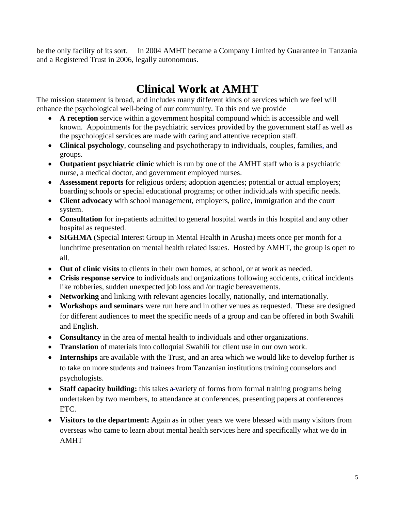be the only facility of its sort. In 2004 AMHT became a Company Limited by Guarantee in Tanzania and a Registered Trust in 2006, legally autonomous.

## **Clinical Work at AMHT**

The mission statement is broad, and includes many different kinds of services which we feel will enhance the psychological well-being of our community. To this end we provide

- **A reception** service within a government hospital compound which is accessible and well known. Appointments for the psychiatric services provided by the government staff as well as the psychological services are made with caring and attentive reception staff.
- **Clinical psychology**, counseling and psychotherapy to individuals, couples, families, and groups.
- **Outpatient psychiatric clinic** which is run by one of the AMHT staff who is a psychiatric nurse, a medical doctor, and government employed nurses.
- **Assessment reports** for religious orders; adoption agencies; potential or actual employers; boarding schools or special educational programs; or other individuals with specific needs.
- **Client advocacy** with school management, employers, police, immigration and the court system.
- **Consultation** for in-patients admitted to general hospital wards in this hospital and any other hospital as requested.
- **SIGHMA** (Special Interest Group in Mental Health in Arusha) meets once per month for a lunchtime presentation on mental health related issues. Hosted by AMHT, the group is open to all.
- **Out of clinic visits** to clients in their own homes, at school, or at work as needed.
- **Crisis response service** to individuals and organizations following accidents, critical incidents like robberies, sudden unexpected job loss and /or tragic bereavements.
- **Networking** and linking with relevant agencies locally, nationally, and internationally.
- **Workshops and seminars** were run here and in other venues as requested. These are designed for different audiences to meet the specific needs of a group and can be offered in both Swahili and English.
- **Consultancy** in the area of mental health to individuals and other organizations.
- **Translation** of materials into colloquial Swahili for client use in our own work.
- **Internships** are available with the Trust, and an area which we would like to develop further is to take on more students and trainees from Tanzanian institutions training counselors and psychologists.
- Staff capacity building: this takes a-variety of forms from formal training programs being undertaken by two members, to attendance at conferences, presenting papers at conferences ETC.
- **Visitors to the department:** Again as in other years we were blessed with many visitors from overseas who came to learn about mental health services here and specifically what we do in AMHT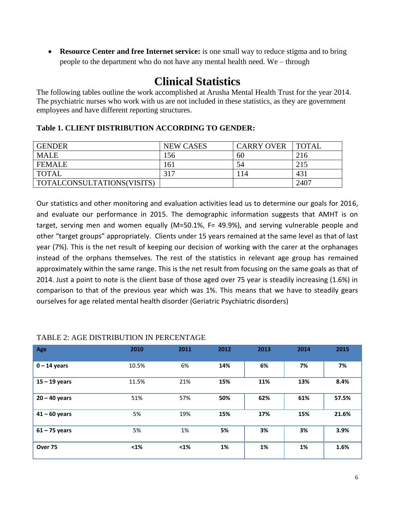**Resource Center and free Internet service:** is one small way to reduce stigma and to bring people to the department who do not have any mental health need. We – through

## **Clinical Statistics**

The following tables outline the work accomplished at Arusha Mental Health Trust for the year 2014. The psychiatric nurses who work with us are not included in these statistics, as they are government employees and have different reporting structures.

#### **Table 1. CLIENT DISTRIBUTION ACCORDING TO GENDER:**

| <b>GENDER</b>              | <b>NEW CASES</b> | <b>CARRY OVER</b> | TOTAL |
|----------------------------|------------------|-------------------|-------|
| <b>MALE</b>                | 156              | 60                | 216   |
| <b>FEMALE</b>              | 161              | 54                | 215   |
| <b>TOTAL</b>               | 317              | 114               | 431   |
| TOTALCONSULTATIONS(VISITS) |                  |                   | 2407  |

Our statistics and other monitoring and evaluation activities lead us to determine our goals for 2016, and evaluate our performance in 2015. The demographic information suggests that AMHT is on target, serving men and women equally (M=50.1%, F= 49.9%), and serving vulnerable people and other "target groups" appropriately. Clients under 15 years remained at the same level as that of last year (7%). This is the net result of keeping our decision of working with the carer at the orphanages instead of the orphans themselves. The rest of the statistics in relevant age group has remained approximately within the same range. This is the net result from focusing on the same goals as that of 2014. Just a point to note is the client base of those aged over 75 year is steadily increasing (1.6%) in comparison to that of the previous year which was 1%. This means that we have to steadily gears ourselves for age related mental health disorder (Geriatric Psychiatric disorders)

| Age             | 2010  | 2011 | 2012 | 2013 | 2014 | 2015  |
|-----------------|-------|------|------|------|------|-------|
| $0 - 14$ years  | 10.5% | 6%   | 14%  | 6%   | 7%   | 7%    |
| $15 - 19$ years | 11.5% | 21%  | 15%  | 11%  | 13%  | 8.4%  |
| $20 - 40$ years | 51%   | 57%  | 50%  | 62%  | 61%  | 57.5% |
| $41 - 60$ years | 5%    | 19%  | 15%  | 17%  | 15%  | 21.6% |
| $61 - 75$ years | 5%    | 1%   | 5%   | 3%   | 3%   | 3.9%  |
| Over 75         | $1%$  | $1%$ | 1%   | 1%   | 1%   | 1.6%  |

#### TABLE 2: AGE DISTRIBUTION IN PERCENTAGE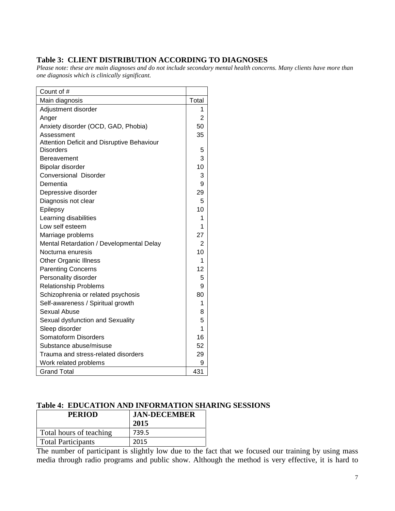#### **Table 3: CLIENT DISTRIBUTION ACCORDING TO DIAGNOSES**

*Please note: these are main diagnoses and do not include secondary mental health concerns. Many clients have more than one diagnosis which is clinically significant.*

| Count of #                                 |                |
|--------------------------------------------|----------------|
| Main diagnosis                             | Total          |
| Adjustment disorder                        | 1              |
| Anger                                      | $\overline{2}$ |
| Anxiety disorder (OCD, GAD, Phobia)        | 50             |
| Assessment                                 | 35             |
| Attention Deficit and Disruptive Behaviour |                |
| <b>Disorders</b>                           | 5              |
| Bereavement                                | 3              |
| Bipolar disorder                           | 10             |
| Conversional Disorder                      | 3              |
| Dementia                                   | 9              |
| Depressive disorder                        | 29             |
| Diagnosis not clear                        | 5              |
| Epilepsy                                   | 10             |
| Learning disabilities                      | 1              |
| Low self esteem                            | 1              |
| Marriage problems                          | 27             |
| Mental Retardation / Developmental Delay   | 2              |
| Nocturna enuresis                          | 10             |
| <b>Other Organic Illness</b>               | 1              |
| <b>Parenting Concerns</b>                  | 12             |
| Personality disorder                       | 5              |
| <b>Relationship Problems</b>               | 9              |
| Schizophrenia or related psychosis         | 80             |
| Self-awareness / Spiritual growth          | 1              |
| Sexual Abuse                               | 8              |
| Sexual dysfunction and Sexuality           | 5              |
| Sleep disorder                             | 1              |
| Somatoform Disorders                       | 16             |
| Substance abuse/misuse                     | 52             |
| Trauma and stress-related disorders        | 29             |
| Work related problems                      | 9              |
| <b>Grand Total</b>                         | 431            |

#### **Table 4: EDUCATION AND INFORMATION SHARING SESSIONS**

| <b>PERIOD</b>             | <b>JAN-DECEMBER</b> |  |
|---------------------------|---------------------|--|
|                           | 2015                |  |
| Total hours of teaching   | 739.5               |  |
| <b>Total Participants</b> | 2015                |  |

The number of participant is slightly low due to the fact that we focused our training by using mass media through radio programs and public show. Although the method is very effective, it is hard to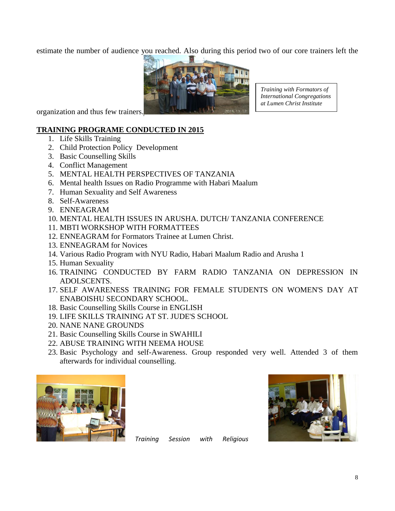estimate the number of audience you reached. Also during this period two of our core trainers left the



*Training with Formators of International Congregations at Lumen Christ Institute*

organization and thus few trainers.

#### **TRAINING PROGRAME CONDUCTED IN 2015**

- 1. Life Skills Training
- 2. Child Protection Policy Development
- 3. Basic Counselling Skills
- 4. Conflict Management
- 5. MENTAL HEALTH PERSPECTIVES OF TANZANIA
- 6. Mental health Issues on Radio Programme with Habari Maalum
- 7. Human Sexuality and Self Awareness
- 8. Self-Awareness
- 9. ENNEAGRAM
- 10. MENTAL HEALTH ISSUES IN ARUSHA. DUTCH/ TANZANIA CONFERENCE
- 11. MBTI WORKSHOP WITH FORMATTEES
- 12. ENNEAGRAM for Formators Trainee at Lumen Christ.
- 13. ENNEAGRAM for Novices
- 14. Various Radio Program with NYU Radio, Habari Maalum Radio and Arusha 1
- 15. Human Sexuality
- 16. TRAINING CONDUCTED BY FARM RADIO TANZANIA ON DEPRESSION IN ADOLSCENTS.
- 17. SELF AWARENESS TRAINING FOR FEMALE STUDENTS ON WOMEN'S DAY AT ENABOISHU SECONDARY SCHOOL.
- 18. Basic Counselling Skills Course in ENGLISH
- 19. LIFE SKILLS TRAINING AT ST. JUDE'S SCHOOL
- 20. NANE NANE GROUNDS
- 21. Basic Counselling Skills Course in SWAHILI
- 22. ABUSE TRAINING WITH NEEMA HOUSE
- 23. Basic Psychology and self-Awareness. Group responded very well. Attended 3 of them afterwards for individual counselling.



*Training Session with Religious*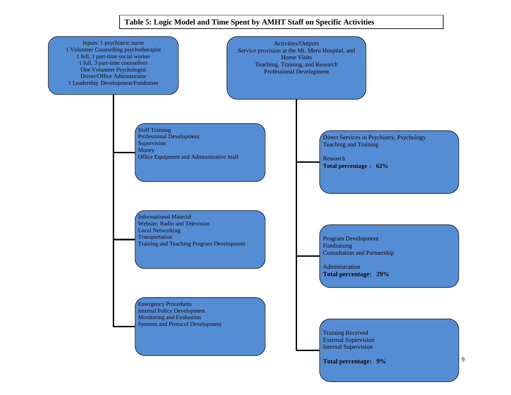#### **Table 5: Logic Model and Time Spent by AMHT Staff on Specific Activities**

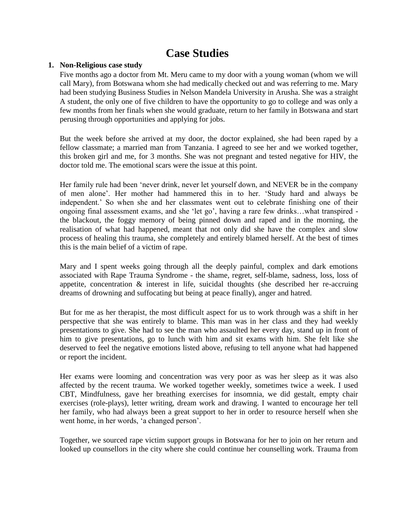## **Case Studies**

#### **1. Non-Religious case study**

Five months ago a doctor from Mt. Meru came to my door with a young woman (whom we will call Mary), from Botswana whom she had medically checked out and was referring to me. Mary had been studying Business Studies in Nelson Mandela University in Arusha. She was a straight A student, the only one of five children to have the opportunity to go to college and was only a few months from her finals when she would graduate, return to her family in Botswana and start perusing through opportunities and applying for jobs.

But the week before she arrived at my door, the doctor explained, she had been raped by a fellow classmate; a married man from Tanzania. I agreed to see her and we worked together, this broken girl and me, for 3 months. She was not pregnant and tested negative for HIV, the doctor told me. The emotional scars were the issue at this point.

Her family rule had been 'never drink, never let yourself down, and NEVER be in the company of men alone'. Her mother had hammered this in to her. 'Study hard and always be independent.' So when she and her classmates went out to celebrate finishing one of their ongoing final assessment exams, and she 'let go', having a rare few drinks…what transpired the blackout, the foggy memory of being pinned down and raped and in the morning, the realisation of what had happened, meant that not only did she have the complex and slow process of healing this trauma, she completely and entirely blamed herself. At the best of times this is the main belief of a victim of rape.

Mary and I spent weeks going through all the deeply painful, complex and dark emotions associated with Rape Trauma Syndrome - the shame, regret, self-blame, sadness, loss, loss of appetite, concentration & interest in life, suicidal thoughts (she described her re-accruing dreams of drowning and suffocating but being at peace finally), anger and hatred.

But for me as her therapist, the most difficult aspect for us to work through was a shift in her perspective that she was entirely to blame. This man was in her class and they had weekly presentations to give. She had to see the man who assaulted her every day, stand up in front of him to give presentations, go to lunch with him and sit exams with him. She felt like she deserved to feel the negative emotions listed above, refusing to tell anyone what had happened or report the incident.

Her exams were looming and concentration was very poor as was her sleep as it was also affected by the recent trauma. We worked together weekly, sometimes twice a week. I used CBT, Mindfulness, gave her breathing exercises for insomnia, we did gestalt, empty chair exercises (role-plays), letter writing, dream work and drawing. I wanted to encourage her tell her family, who had always been a great support to her in order to resource herself when she went home, in her words, 'a changed person'.

Together, we sourced rape victim support groups in Botswana for her to join on her return and looked up counsellors in the city where she could continue her counselling work. Trauma from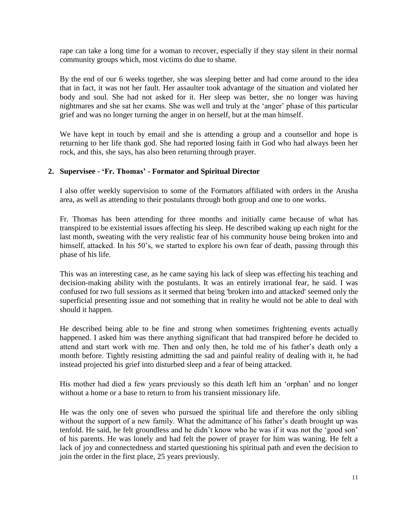rape can take a long time for a woman to recover, especially if they stay silent in their normal community groups which, most victims do due to shame.

By the end of our 6 weeks together, she was sleeping better and had come around to the idea that in fact, it was not her fault. Her assaulter took advantage of the situation and violated her body and soul. She had not asked for it. Her sleep was better, she no longer was having nightmares and she sat her exams. She was well and truly at the 'anger' phase of this particular grief and was no longer turning the anger in on herself, but at the man himself.

We have kept in touch by email and she is attending a group and a counsellor and hope is returning to her life thank god. She had reported losing faith in God who had always been her rock, and this, she says, has also been returning through prayer.

#### **2. Supervisee - 'Fr. Thomas' - Formator and Spiritual Director**

I also offer weekly supervision to some of the Formators affiliated with orders in the Arusha area, as well as attending to their postulants through both group and one to one works.

Fr. Thomas has been attending for three months and initially came because of what has transpired to be existential issues affecting his sleep. He described waking up each night for the last month, sweating with the very realistic fear of his community house being broken into and himself, attacked. In his 50's, we started to explore his own fear of death, passing through this phase of his life.

This was an interesting case, as he came saying his lack of sleep was effecting his teaching and decision-making ability with the postulants. It was an entirely irrational fear, he said. I was confused for two full sessions as it seemed that being 'broken into and attacked' seemed only the superficial presenting issue and not something that in reality he would not be able to deal with should it happen.

He described being able to be fine and strong when sometimes frightening events actually happened. I asked him was there anything significant that had transpired before he decided to attend and start work with me. Then and only then, he told me of his father's death only a month before. Tightly resisting admitting the sad and painful reality of dealing with it, he had instead projected his grief into disturbed sleep and a fear of being attacked.

His mother had died a few years previously so this death left him an 'orphan' and no longer without a home or a base to return to from his transient missionary life.

He was the only one of seven who pursued the spiritual life and therefore the only sibling without the support of a new family. What the admittance of his father's death brought up was tenfold. He said, he felt groundless and he didn't know who he was if it was not the 'good son' of his parents. He was lonely and had felt the power of prayer for him was waning. He felt a lack of joy and connectedness and started questioning his spiritual path and even the decision to join the order in the first place, 25 years previously.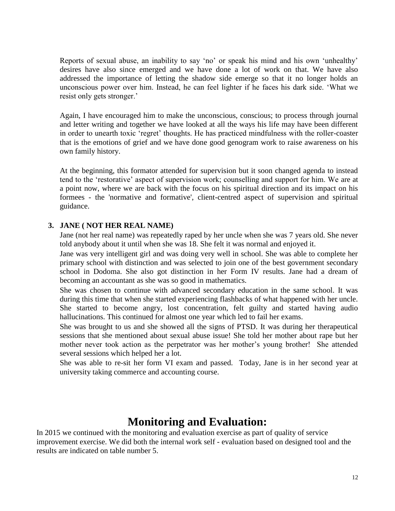Reports of sexual abuse, an inability to say 'no' or speak his mind and his own 'unhealthy' desires have also since emerged and we have done a lot of work on that. We have also addressed the importance of letting the shadow side emerge so that it no longer holds an unconscious power over him. Instead, he can feel lighter if he faces his dark side. 'What we resist only gets stronger.'

Again, I have encouraged him to make the unconscious, conscious; to process through journal and letter writing and together we have looked at all the ways his life may have been different in order to unearth toxic 'regret' thoughts. He has practiced mindfulness with the roller-coaster that is the emotions of grief and we have done good genogram work to raise awareness on his own family history.

At the beginning, this formator attended for supervision but it soon changed agenda to instead tend to the 'restorative' aspect of supervision work; counselling and support for him. We are at a point now, where we are back with the focus on his spiritual direction and its impact on his formees - the 'normative and formative', client-centred aspect of supervision and spiritual guidance.

#### **3. JANE ( NOT HER REAL NAME)**

Jane (not her real name) was repeatedly raped by her uncle when she was 7 years old. She never told anybody about it until when she was 18. She felt it was normal and enjoyed it.

Jane was very intelligent girl and was doing very well in school. She was able to complete her primary school with distinction and was selected to join one of the best government secondary school in Dodoma. She also got distinction in her Form IV results. Jane had a dream of becoming an accountant as she was so good in mathematics.

She was chosen to continue with advanced secondary education in the same school. It was during this time that when she started experiencing flashbacks of what happened with her uncle. She started to become angry, lost concentration, felt guilty and started having audio hallucinations. This continued for almost one year which led to fail her exams.

She was brought to us and she showed all the signs of PTSD. It was during her therapeutical sessions that she mentioned about sexual abuse issue! She told her mother about rape but her mother never took action as the perpetrator was her mother's young brother! She attended several sessions which helped her a lot.

She was able to re-sit her form VI exam and passed. Today, Jane is in her second year at university taking commerce and accounting course.

## **Monitoring and Evaluation:**

In 2015 we continued with the monitoring and evaluation exercise as part of quality of service improvement exercise. We did both the internal work self - evaluation based on designed tool and the results are indicated on table number 5.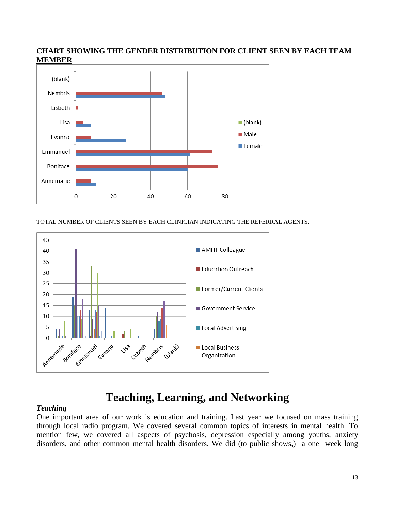

**CHART SHOWING THE GENDER DISTRIBUTION FOR CLIENT SEEN BY EACH TEAM MEMBER**

TOTAL NUMBER OF CLIENTS SEEN BY EACH CLINICIAN INDICATING THE REFERRAL AGENTS.



## **Teaching, Learning, and Networking**

#### *Teaching*

One important area of our work is education and training. Last year we focused on mass training through local radio program. We covered several common topics of interests in mental health. To mention few, we covered all aspects of psychosis, depression especially among youths, anxiety disorders, and other common mental health disorders. We did (to public shows,) a one week long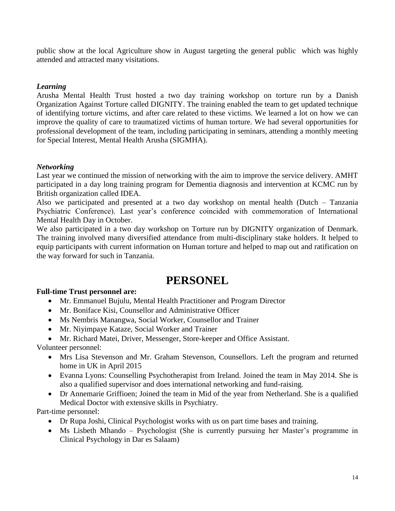public show at the local Agriculture show in August targeting the general public which was highly attended and attracted many visitations.

#### *Learning*

Arusha Mental Health Trust hosted a two day training workshop on torture run by a Danish Organization Against Torture called DIGNITY. The training enabled the team to get updated technique of identifying torture victims, and after care related to these victims. We learned a lot on how we can improve the quality of care to traumatized victims of human torture. We had several opportunities for professional development of the team, including participating in seminars, attending a monthly meeting for Special Interest, Mental Health Arusha (SIGMHA).

#### *Networking*

Last year we continued the mission of networking with the aim to improve the service delivery. AMHT participated in a day long training program for Dementia diagnosis and intervention at KCMC run by British organization called IDEA.

Also we participated and presented at a two day workshop on mental health (Dutch – Tanzania Psychiatric Conference). Last year's conference coincided with commemoration of International Mental Health Day in October.

We also participated in a two day workshop on Torture run by DIGNITY organization of Denmark. The training involved many diversified attendance from multi-disciplinary stake holders. It helped to equip participants with current information on Human torture and helped to map out and ratification on the way forward for such in Tanzania.

## **PERSONEL**

#### **Full-time Trust personnel are:**

- Mr. Emmanuel Bujulu, Mental Health Practitioner and Program Director
- Mr. Boniface Kisi, Counsellor and Administrative Officer
- Ms Nembris Manangwa, Social Worker, Counsellor and Trainer
- Mr. Niyimpaye Kataze, Social Worker and Trainer
- Mr. Richard Matei, Driver, Messenger, Store-keeper and Office Assistant.

Volunteer personnel:

- Mrs Lisa Stevenson and Mr. Graham Stevenson, Counsellors. Left the program and returned home in UK in April 2015
- Evanna Lyons: Counselling Psychotherapist from Ireland. Joined the team in May 2014. She is also a qualified supervisor and does international networking and fund-raising.
- Dr Annemarie Griffioen; Joined the team in Mid of the year from Netherland. She is a qualified Medical Doctor with extensive skills in Psychiatry.

Part-time personnel:

- Dr Rupa Joshi, Clinical Psychologist works with us on part time bases and training.
- Ms Lisbeth Mhando Psychologist (She is currently pursuing her Master's programme in Clinical Psychology in Dar es Salaam)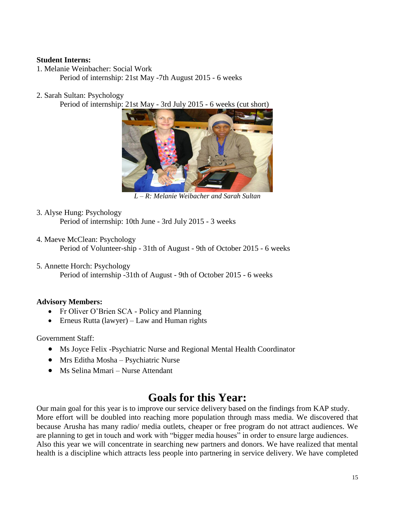#### **Student Interns:**

1. Melanie Weinbacher: Social Work

Period of internship: 21st May -7th August 2015 - 6 weeks

2. Sarah Sultan: Psychology

Period of internship: 21st May - 3rd July 2015 - 6 weeks (cut short)



*L – R: Melanie Weibacher and Sarah Sultan*

- 3. Alyse Hung: Psychology Period of internship: 10th June - 3rd July 2015 - 3 weeks
- 4. Maeve McClean: Psychology Period of Volunteer-ship - 31th of August - 9th of October 2015 - 6 weeks
- 5. Annette Horch: Psychology

Period of internship -31th of August - 9th of October 2015 - 6 weeks

#### **Advisory Members:**

- Fr Oliver O'Brien SCA Policy and Planning
- $\bullet$  Erneus Rutta (lawyer) Law and Human rights

Government Staff:

- Ms Joyce Felix -Psychiatric Nurse and Regional Mental Health Coordinator
- Mrs Editha Mosha Psychiatric Nurse
- Ms Selina Mmari Nurse Attendant

## **Goals for this Year:**

Our main goal for this year is to improve our service delivery based on the findings from KAP study. More effort will be doubled into reaching more population through mass media. We discovered that because Arusha has many radio/ media outlets, cheaper or free program do not attract audiences. We are planning to get in touch and work with "bigger media houses" in order to ensure large audiences. Also this year we will concentrate in searching new partners and donors. We have realized that mental health is a discipline which attracts less people into partnering in service delivery. We have completed